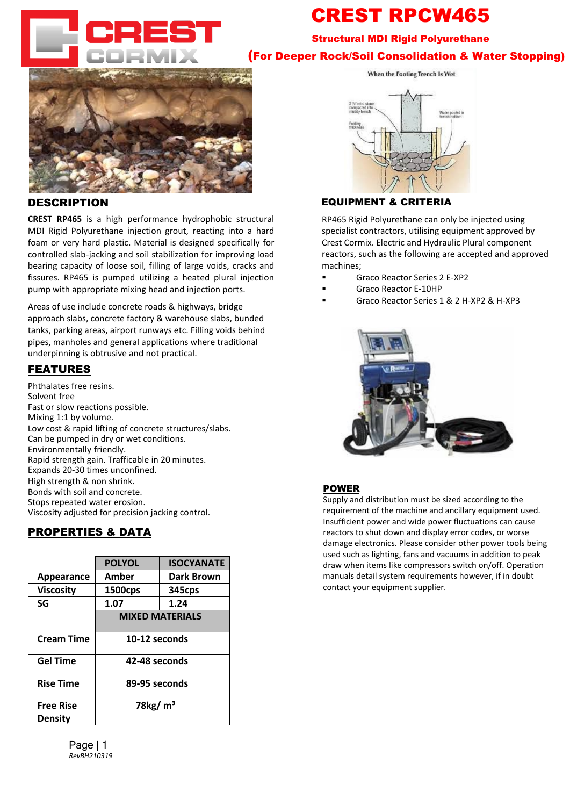

# CREST RPCW Structural MDI Rigid Polyurethane (For Deeper Rock/Soil Consolidation & Water Stopping)



## **DESCRIPTION**

**CREST RPCW** is a high performance low viscosity hydrophobic structural MDI Polyurethane injection grout, used to increase load bearing capacity of loose soils, void filling or underpinning. RPCW reacts slower for deeper penetration, consolidating gravel layers and loose soils and stopping water. (expands to foam in presence of water)

Injection should occur until the water flow stops. Used for preinjection or waterproofing and consolidation in front of TBM and drill and blast.

## FEATURES

Phthalates free resins. Solvent free Fast or slow reactions possible. Mixing 1:1 by volume. Can be applied in dry or wet conditions Environmentally friendly. Rapid strength gain. High strength & non shrink. Bonds with soil and concrete. Stops repeated water erosion. Designed for the long distant injection.

|                                    | <b>POLYOL</b>           | <b>ISOCYANATE</b> |
|------------------------------------|-------------------------|-------------------|
| Appearance                         | Amber                   | Dark Brown        |
| <b>Viscosity</b>                   | 1500cps                 | 345cps            |
| SG                                 | 1.07                    | 1.24              |
|                                    | <b>MIXED MATERIALS</b>  |                   |
| <b>Cream Time</b>                  | 20-30 seconds           |                   |
| <b>Gel Time</b>                    | 80 - 95 seconds         |                   |
| <b>Rise Time</b>                   | <b>Approx 5 minutes</b> |                   |
| <b>Free Rise</b><br><b>Density</b> | 78 $kg/m3$              |                   |
|                                    |                         |                   |

Page | 1 *RevBH210319*





### EQUIPMENT & CRITERIA

RP465 Rigid Polyurethane can only be injected using specialist contractors, utilising equipment approved by Crest Cormix. Electric and Hydraulic Plural component reactors, such as the following are accepted and approved machines;

- **Graco Reactor Series 2 E-XP2**
- Graco Reactor E-10HP
- Graco Reactor Series 1 & 2 H-XP2 & H-XP3



#### POWER

Supply and distribution must be sized according to the requirement of the machine and ancillary equipment used. Insufficient power and wide power fluctuations can cause reactors to shut down and display error codes, or worse damage electronics. Please consider other power tools being used such as lighting, fans and vacuums in addition to peak draw when items like compressors switch on/off. Operation manuals detail system requirements however, if in doubt contact your equipment supplier.